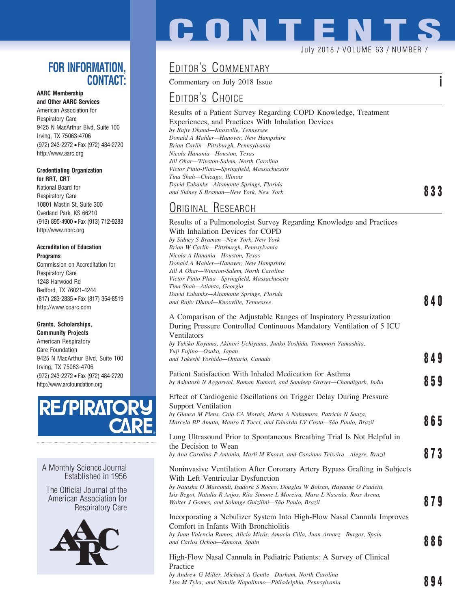### **FOR INFORMATION, CONTACT:**

### **AARC Membership and Other AARC Services**

American Association for Respiratory Care 9425 N MacArthur Blvd, Suite 100 Irving, TX 75063-4706 (972) 243-2272 • Fax (972) 484-2720 http://www.aarc.org

#### **Credentialing Organization for RRT, CRT**

National Board for Respiratory Care 10801 Mastin St, Suite 300 Overland Park, KS 66210 (913) 895-4900 • Fax (913) 712-9283 http://www.nbrc.org

### **Accreditation of Education Programs**

Commission on Accreditation for Respiratory Care 1248 Harwood Rd Bedford, TX 76021-4244 (817) 283-2835 • Fax (817) 354-8519 http://www.coarc.com

### **Grants, Scholarships,**

**Community Projects** American Respiratory Care Foundation 9425 N MacArthur Blvd, Suite 100 Irving, TX 75063-4706 (972) 243-2272 • Fax (972) 484-2720 http://www.arcfoundation.org



A Monthly Science Journal Established in 1956

The Official Journal of the American Association for Respiratory Care



# EDITOR'S COMMENTARY

Commentary on July 2018 Issue **i**

## EDITOR'S CHOICE

### Results of a Patient Survey Regarding COPD Knowledge, Treatment Experiences, and Practices With Inhalation Devices *by Rajiv Dhand—Knoxville, Tennessee Donald A Mahler—Hanover, New Hampshire Brian Carlin—Pittsburgh, Pennsylvania Nicola Hanania—Houston, Texas Jill Ohar—Winston-Salem, North Carolina Victor Pinto-Plata—Springfield, Massachusetts Tina Shah—Chicago, Illinois David Eubanks—Altamonte Springs, Florida and Sidney S Braman—New York, New York* **833**

**CONTENTS**

July 2018 / VOLUME 63 / NUMBER 7

### ORIGINAL RESEARCH

### Results of a Pulmonologist Survey Regarding Knowledge and Practices With Inhalation Devices for COPD

*by Sidney S Braman—New York, New York Brian W Carlin—Pittsburgh, Pennsylvania Nicola A Hanania—Houston, Texas Donald A Mahler—Hanover, New Hampshire Jill A Ohar—Winston-Salem, North Carolina Victor Pinto-Plata—Springfield, Massachusetts Tina Shah—Atlanta, Georgia David Eubanks—Altamonte Springs, Florida and Rajiv Dhand—Knoxville, Tennessee* **840**

### A Comparison of the Adjustable Ranges of Inspiratory Pressurization During Pressure Controlled Continuous Mandatory Ventilation of 5 ICU Ventilators

*by Yukiko Koyama, Akinori Uchiyama, Junko Yoshida, Tomonori Yamashita, Yuji Fujino—Osaka, Japan and Takeshi Yoshida—Ontario, Canada* **849**

| Patient Satisfaction With Inhaled Medication for Asthma<br>by Ashutosh N Aggarwal, Raman Kumari, and Sandeep Grover—Chandigarh, India                                                                                       | 859 |
|-----------------------------------------------------------------------------------------------------------------------------------------------------------------------------------------------------------------------------|-----|
| Effect of Cardiogenic Oscillations on Trigger Delay During Pressure<br><b>Support Ventilation</b>                                                                                                                           |     |
| by Glauco M Plens, Caio CA Morais, Maria A Nakamura, Patricia N Souza,<br>Marcelo BP Amato, Mauro R Tucci, and Eduardo LV Costa-São Paulo, Brazil                                                                           | 865 |
| Lung Ultrasound Prior to Spontaneous Breathing Trial Is Not Helpful in<br>the Decision to Wean                                                                                                                              |     |
| by Ana Carolina P Antonio, Marli M Knorst, and Cassiano Teixeira—Alegre, Brazil                                                                                                                                             | 873 |
| Noninvasive Ventilation After Coronary Artery Bypass Grafting in Subjects<br>With Left-Ventricular Dysfunction                                                                                                              |     |
| by Natasha O Marcondi, Isadora S Rocco, Douglas W Bolzan, Hayanne O Pauletti,<br>Isis Begot, Natalia R Anjos, Rita Simone L Moreira, Mara L Nasrala, Ross Arena,<br>Walter J Gomes, and Solange Guizilini—São Paulo, Brazil | 879 |
| Incorporating a Nebulizer System Into High-Flow Nasal Cannula Improves<br>Comfort in Infants With Bronchiolitis                                                                                                             |     |
| by Juan Valencia-Ramos, Alicia Mirás, Amacia Cilla, Juan Arnaez—Burgos, Spain<br>and Carlos Ochoa-Zamora, Spain                                                                                                             | 886 |
| High-Flow Nasal Cannula in Pediatric Patients: A Survey of Clinical<br>Practice                                                                                                                                             |     |

*by Andrew G Miller, Michael A Gentle—Durham, North Carolina* Lisa M Tyler, and Natalie Napolitano—Philadelphia, Pennsylvania